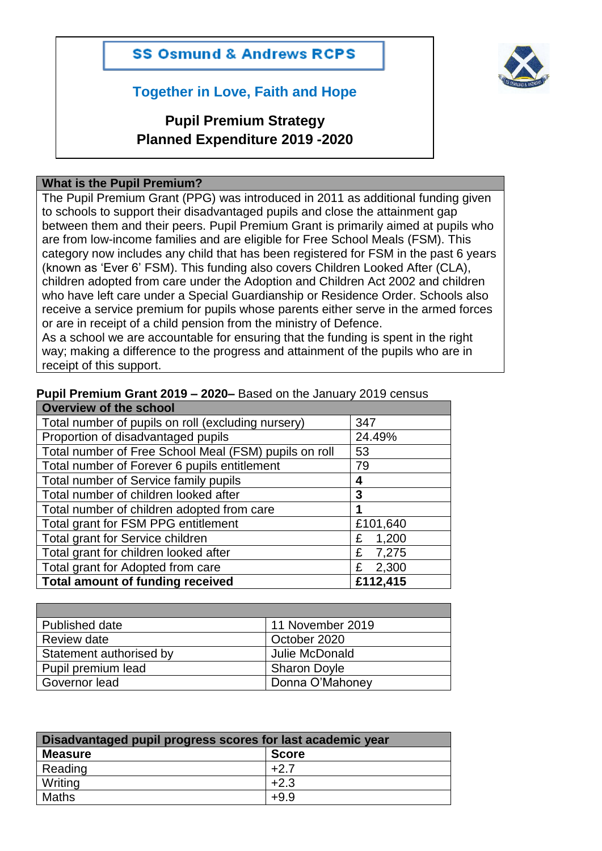



## **Together in Love, Faith and Hope**

# **Pupil Premium Strategy Planned Expenditure 2019 -2020**

#### **What is the Pupil Premium?**

The Pupil Premium Grant (PPG) was introduced in 2011 as additional funding given to schools to support their disadvantaged pupils and close the attainment gap between them and their peers. Pupil Premium Grant is primarily aimed at pupils who are from low-income families and are eligible for Free School Meals (FSM). This category now includes any child that has been registered for FSM in the past 6 years (known as 'Ever 6' FSM). This funding also covers Children Looked After (CLA), children adopted from care under the Adoption and Children Act 2002 and children who have left care under a Special Guardianship or Residence Order. Schools also receive a service premium for pupils whose parents either serve in the armed forces or are in receipt of a child pension from the ministry of Defence.

As a school we are accountable for ensuring that the funding is spent in the right way; making a difference to the progress and attainment of the pupils who are in receipt of this support.

#### **Pupil Premium Grant 2019 – 2020–** Based on the January 2019 census

| Overview of the school                                |            |  |  |  |
|-------------------------------------------------------|------------|--|--|--|
| Total number of pupils on roll (excluding nursery)    | 347        |  |  |  |
| Proportion of disadvantaged pupils                    | 24.49%     |  |  |  |
| Total number of Free School Meal (FSM) pupils on roll | 53         |  |  |  |
| Total number of Forever 6 pupils entitlement          | 79         |  |  |  |
| Total number of Service family pupils                 | 4          |  |  |  |
| Total number of children looked after                 | 3          |  |  |  |
| Total number of children adopted from care            | 1          |  |  |  |
| Total grant for FSM PPG entitlement                   | £101,640   |  |  |  |
| Total grant for Service children                      | 1,200<br>£ |  |  |  |
| Total grant for children looked after                 | 7,275<br>£ |  |  |  |
| Total grant for Adopted from care                     | 2,300<br>£ |  |  |  |
| <b>Total amount of funding received</b>               | £112,415   |  |  |  |

| Published date          | 11 November 2019    |
|-------------------------|---------------------|
| Review date             | October 2020        |
| Statement authorised by | Julie McDonald      |
| Pupil premium lead      | <b>Sharon Doyle</b> |
| Governor lead           | Donna O'Mahoney     |

| Disadvantaged pupil progress scores for last academic year |              |  |  |
|------------------------------------------------------------|--------------|--|--|
| <b>Measure</b>                                             | <b>Score</b> |  |  |
| Reading                                                    | $+2.7$       |  |  |
| Writing                                                    | $+2.3$       |  |  |
| Maths                                                      | $+9.9$       |  |  |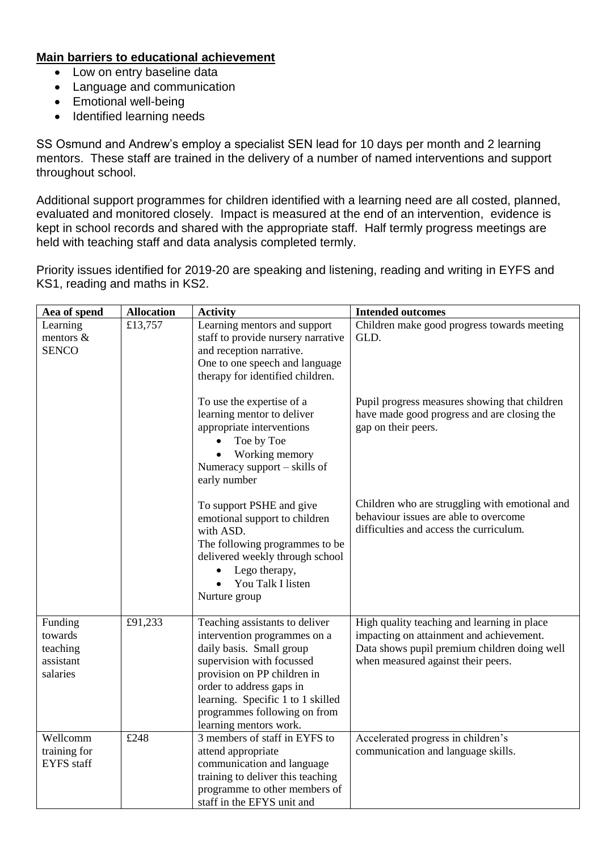#### **Main barriers to educational achievement**

- Low on entry baseline data
- Language and communication
- Emotional well-being
- Identified learning needs

SS Osmund and Andrew's employ a specialist SEN lead for 10 days per month and 2 learning mentors. These staff are trained in the delivery of a number of named interventions and support throughout school.

Additional support programmes for children identified with a learning need are all costed, planned, evaluated and monitored closely. Impact is measured at the end of an intervention, evidence is kept in school records and shared with the appropriate staff. Half termly progress meetings are held with teaching staff and data analysis completed termly.

Priority issues identified for 2019-20 are speaking and listening, reading and writing in EYFS and KS1, reading and maths in KS2.

| Aea of spend                                            | <b>Allocation</b> | <b>Activity</b>                                                                                                                                                                                                                                                                   | <b>Intended outcomes</b>                                                                                                                                                      |
|---------------------------------------------------------|-------------------|-----------------------------------------------------------------------------------------------------------------------------------------------------------------------------------------------------------------------------------------------------------------------------------|-------------------------------------------------------------------------------------------------------------------------------------------------------------------------------|
| Learning<br>mentors &<br><b>SENCO</b>                   | £13,757           | Learning mentors and support<br>staff to provide nursery narrative<br>and reception narrative.<br>One to one speech and language<br>therapy for identified children.                                                                                                              | Children make good progress towards meeting<br>GLD.                                                                                                                           |
|                                                         |                   | To use the expertise of a<br>learning mentor to deliver<br>appropriate interventions<br>Toe by Toe<br>Working memory<br>Numeracy support – skills of<br>early number                                                                                                              | Pupil progress measures showing that children<br>have made good progress and are closing the<br>gap on their peers.                                                           |
|                                                         |                   | To support PSHE and give<br>emotional support to children<br>with ASD.<br>The following programmes to be<br>delivered weekly through school<br>Lego therapy,<br>You Talk I listen<br>Nurture group                                                                                | Children who are struggling with emotional and<br>behaviour issues are able to overcome<br>difficulties and access the curriculum.                                            |
| Funding<br>towards<br>teaching<br>assistant<br>salaries | £91,233           | Teaching assistants to deliver<br>intervention programmes on a<br>daily basis. Small group<br>supervision with focussed<br>provision on PP children in<br>order to address gaps in<br>learning. Specific 1 to 1 skilled<br>programmes following on from<br>learning mentors work. | High quality teaching and learning in place<br>impacting on attainment and achievement.<br>Data shows pupil premium children doing well<br>when measured against their peers. |
| Wellcomm<br>training for<br><b>EYFS</b> staff           | £248              | 3 members of staff in EYFS to<br>attend appropriate<br>communication and language<br>training to deliver this teaching<br>programme to other members of<br>staff in the EFYS unit and                                                                                             | Accelerated progress in children's<br>communication and language skills.                                                                                                      |